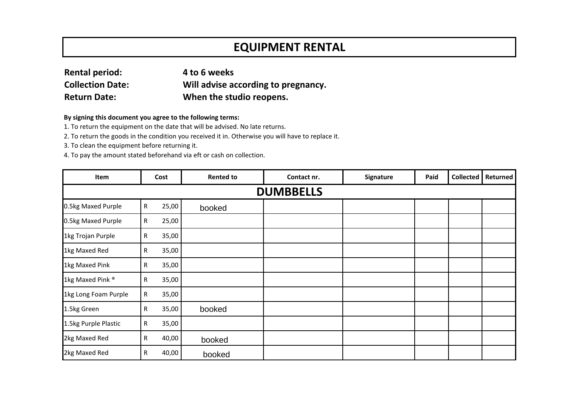## **EQUIPMENT RENTAL**

| <b>Rental period:</b>   | 4 to 6 weeks                        |
|-------------------------|-------------------------------------|
| <b>Collection Date:</b> | Will advise according to pregnancy. |
| <b>Return Date:</b>     | When the studio reopens.            |

## **By signing this document you agree to the following terms:**

1. To return the equipment on the date that will be advised. No late returns.

2. To return the goods in the condition you received it in. Otherwise you will have to replace it.

3. To clean the equipment before returning it.

4. To pay the amount stated beforehand via eft or cash on collection.

| Item                        | Cost |       | <b>Rented to</b> | Contact nr. | Signature | Paid | <b>Collected</b> | <b>Returned</b> |  |  |
|-----------------------------|------|-------|------------------|-------------|-----------|------|------------------|-----------------|--|--|
| <b>DUMBBELLS</b>            |      |       |                  |             |           |      |                  |                 |  |  |
| 0.5kg Maxed Purple          | R    | 25,00 | booked           |             |           |      |                  |                 |  |  |
| 0.5kg Maxed Purple          | R    | 25,00 |                  |             |           |      |                  |                 |  |  |
| 1kg Trojan Purple           | R    | 35,00 |                  |             |           |      |                  |                 |  |  |
| 1kg Maxed Red               | R    | 35,00 |                  |             |           |      |                  |                 |  |  |
| 1kg Maxed Pink              | R    | 35,00 |                  |             |           |      |                  |                 |  |  |
| 1kg Maxed Pink <sup>®</sup> | R    | 35,00 |                  |             |           |      |                  |                 |  |  |
| 1kg Long Foam Purple        | R    | 35,00 |                  |             |           |      |                  |                 |  |  |
| 1.5kg Green                 | R.   | 35,00 | booked           |             |           |      |                  |                 |  |  |
| 1.5kg Purple Plastic        | R    | 35,00 |                  |             |           |      |                  |                 |  |  |
| 2kg Maxed Red               | R    | 40,00 | booked           |             |           |      |                  |                 |  |  |
| 2kg Maxed Red               | R    | 40,00 | booked           |             |           |      |                  |                 |  |  |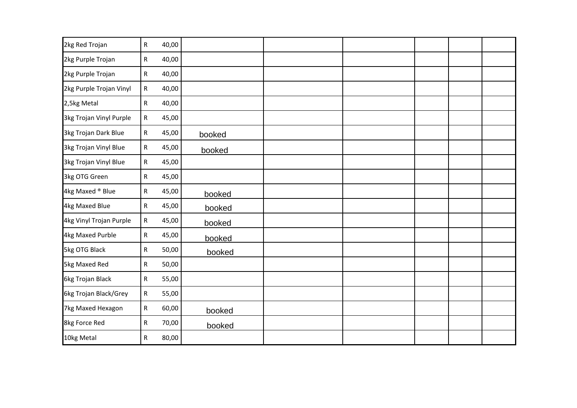| 2kg Red Trojan          | R            | 40,00 |        |  |  |  |
|-------------------------|--------------|-------|--------|--|--|--|
| 2kg Purple Trojan       | R            | 40,00 |        |  |  |  |
| 2kg Purple Trojan       | R            | 40,00 |        |  |  |  |
| 2kg Purple Trojan Vinyl | R            | 40,00 |        |  |  |  |
| 2,5kg Metal             | R            | 40,00 |        |  |  |  |
| 3kg Trojan Vinyl Purple | R            | 45,00 |        |  |  |  |
| 3kg Trojan Dark Blue    | $\mathsf{R}$ | 45,00 | booked |  |  |  |
| 3kg Trojan Vinyl Blue   | R            | 45,00 | booked |  |  |  |
| 3kg Trojan Vinyl Blue   | R            | 45,00 |        |  |  |  |
| 3kg OTG Green           | R            | 45,00 |        |  |  |  |
| 4kg Maxed ® Blue        | R            | 45,00 | booked |  |  |  |
| 4kg Maxed Blue          | $\mathsf{R}$ | 45,00 | booked |  |  |  |
| 4kg Vinyl Trojan Purple | R            | 45,00 | booked |  |  |  |
| 4kg Maxed Purble        | R            | 45,00 | booked |  |  |  |
| 5kg OTG Black           | R            | 50,00 | booked |  |  |  |
| 5kg Maxed Red           | R            | 50,00 |        |  |  |  |
| 6kg Trojan Black        | R            | 55,00 |        |  |  |  |
| 6kg Trojan Black/Grey   | ${\sf R}$    | 55,00 |        |  |  |  |
| 7kg Maxed Hexagon       | ${\sf R}$    | 60,00 | booked |  |  |  |
| 8kg Force Red           | R            | 70,00 | booked |  |  |  |
| 10kg Metal              | R            | 80,00 |        |  |  |  |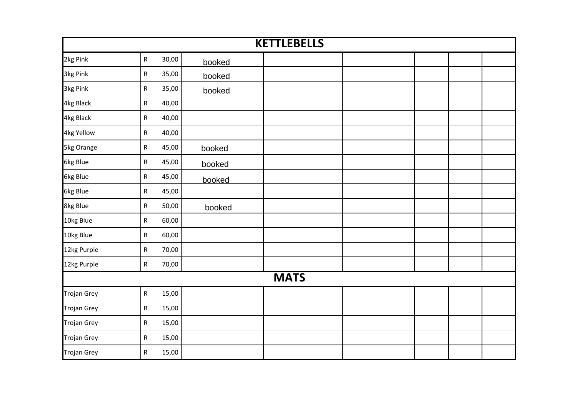| <b>KETTLEBELLS</b> |                      |        |  |  |  |  |  |  |  |  |
|--------------------|----------------------|--------|--|--|--|--|--|--|--|--|
| 2kg Pink           | 30,00<br>${\sf R}$   | booked |  |  |  |  |  |  |  |  |
| 3kg Pink           | 35,00<br>R           | booked |  |  |  |  |  |  |  |  |
| 3kg Pink           | ${\sf R}$<br>35,00   | booked |  |  |  |  |  |  |  |  |
| 4kg Black          | 40,00<br>${\sf R}$   |        |  |  |  |  |  |  |  |  |
| 4kg Black          | 40,00<br>R           |        |  |  |  |  |  |  |  |  |
| 4kg Yellow         | ${\sf R}$<br>40,00   |        |  |  |  |  |  |  |  |  |
| 5kg Orange         | ${\sf R}$<br>45,00   | booked |  |  |  |  |  |  |  |  |
| 6kg Blue           | 45,00<br>R           | booked |  |  |  |  |  |  |  |  |
| 6kg Blue           | ${\sf R}$<br>45,00   | booked |  |  |  |  |  |  |  |  |
| 6kg Blue           | ${\sf R}$<br>45,00   |        |  |  |  |  |  |  |  |  |
| 8kg Blue           | 50,00<br>${\sf R}$   | booked |  |  |  |  |  |  |  |  |
| 10kg Blue          | 60,00<br>${\sf R}$   |        |  |  |  |  |  |  |  |  |
| 10kg Blue          | ${\sf R}$<br>60,00   |        |  |  |  |  |  |  |  |  |
| 12kg Purple        | 70,00<br>${\sf R}$   |        |  |  |  |  |  |  |  |  |
| 12kg Purple        | 70,00<br>${\sf R}$   |        |  |  |  |  |  |  |  |  |
|                    | <b>MATS</b>          |        |  |  |  |  |  |  |  |  |
| <b>Trojan Grey</b> | ${\sf R}$<br>15,00   |        |  |  |  |  |  |  |  |  |
| Trojan Grey        | 15,00<br>$\mathsf R$ |        |  |  |  |  |  |  |  |  |
| <b>Trojan Grey</b> | ${\sf R}$<br>15,00   |        |  |  |  |  |  |  |  |  |
| <b>Trojan Grey</b> | ${\sf R}$<br>15,00   |        |  |  |  |  |  |  |  |  |
| <b>Trojan Grey</b> | 15,00<br>R           |        |  |  |  |  |  |  |  |  |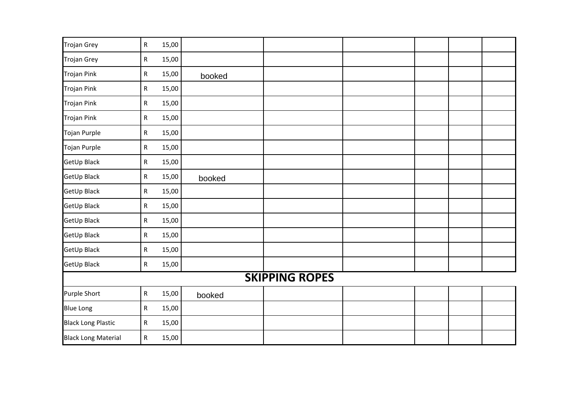| <b>Trojan Grey</b>         | $\mathsf{R}$ | 15,00 |        |  |  |  |  |  |  |
|----------------------------|--------------|-------|--------|--|--|--|--|--|--|
| <b>Trojan Grey</b>         | ${\sf R}$    | 15,00 |        |  |  |  |  |  |  |
| <b>Trojan Pink</b>         | ${\sf R}$    | 15,00 | booked |  |  |  |  |  |  |
| <b>Trojan Pink</b>         | ${\sf R}$    | 15,00 |        |  |  |  |  |  |  |
| <b>Trojan Pink</b>         | ${\sf R}$    | 15,00 |        |  |  |  |  |  |  |
| <b>Trojan Pink</b>         | ${\sf R}$    | 15,00 |        |  |  |  |  |  |  |
| Tojan Purple               | ${\sf R}$    | 15,00 |        |  |  |  |  |  |  |
| Tojan Purple               | ${\sf R}$    | 15,00 |        |  |  |  |  |  |  |
| GetUp Black                | ${\sf R}$    | 15,00 |        |  |  |  |  |  |  |
| GetUp Black                | $\mathsf R$  | 15,00 | booked |  |  |  |  |  |  |
| GetUp Black                | ${\sf R}$    | 15,00 |        |  |  |  |  |  |  |
| GetUp Black                | $\mathsf R$  | 15,00 |        |  |  |  |  |  |  |
| GetUp Black                | ${\sf R}$    | 15,00 |        |  |  |  |  |  |  |
| GetUp Black                | ${\sf R}$    | 15,00 |        |  |  |  |  |  |  |
| GetUp Black                | ${\sf R}$    | 15,00 |        |  |  |  |  |  |  |
| GetUp Black                | $\mathsf{R}$ | 15,00 |        |  |  |  |  |  |  |
| <b>SKIPPING ROPES</b>      |              |       |        |  |  |  |  |  |  |
| <b>Purple Short</b>        | ${\sf R}$    | 15,00 | booked |  |  |  |  |  |  |
| <b>Blue Long</b>           | ${\sf R}$    | 15,00 |        |  |  |  |  |  |  |
| <b>Black Long Plastic</b>  | ${\sf R}$    | 15,00 |        |  |  |  |  |  |  |
| <b>Black Long Material</b> | ${\sf R}$    | 15,00 |        |  |  |  |  |  |  |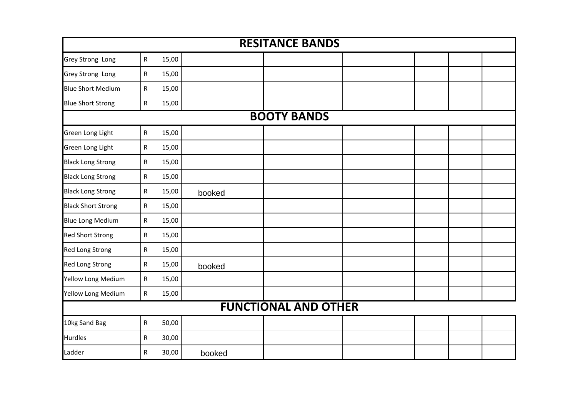| <b>RESITANCE BANDS</b>    |                             |       |        |                    |  |  |  |  |  |
|---------------------------|-----------------------------|-------|--------|--------------------|--|--|--|--|--|
| <b>Grey Strong Long</b>   | ${\sf R}$                   | 15,00 |        |                    |  |  |  |  |  |
| <b>Grey Strong Long</b>   | R                           | 15,00 |        |                    |  |  |  |  |  |
| <b>Blue Short Medium</b>  | ${\sf R}$                   | 15,00 |        |                    |  |  |  |  |  |
| <b>Blue Short Strong</b>  | ${\sf R}$                   | 15,00 |        |                    |  |  |  |  |  |
|                           |                             |       |        | <b>BOOTY BANDS</b> |  |  |  |  |  |
| Green Long Light          | ${\sf R}$                   | 15,00 |        |                    |  |  |  |  |  |
| Green Long Light          | R                           | 15,00 |        |                    |  |  |  |  |  |
| <b>Black Long Strong</b>  | $\mathsf{R}$                | 15,00 |        |                    |  |  |  |  |  |
| <b>Black Long Strong</b>  | ${\sf R}$                   | 15,00 |        |                    |  |  |  |  |  |
| <b>Black Long Strong</b>  | $\mathsf{R}$                | 15,00 | booked |                    |  |  |  |  |  |
| <b>Black Short Strong</b> | ${\sf R}$                   | 15,00 |        |                    |  |  |  |  |  |
| <b>Blue Long Medium</b>   | ${\sf R}$                   | 15,00 |        |                    |  |  |  |  |  |
| <b>Red Short Strong</b>   | ${\sf R}$                   | 15,00 |        |                    |  |  |  |  |  |
| <b>Red Long Strong</b>    | ${\sf R}$                   | 15,00 |        |                    |  |  |  |  |  |
| <b>Red Long Strong</b>    | $\mathsf{R}$                | 15,00 | booked |                    |  |  |  |  |  |
| Yellow Long Medium        | ${\sf R}$                   | 15,00 |        |                    |  |  |  |  |  |
| Yellow Long Medium        | ${\sf R}$                   | 15,00 |        |                    |  |  |  |  |  |
|                           | <b>FUNCTIONAL AND OTHER</b> |       |        |                    |  |  |  |  |  |
| 10kg Sand Bag             | ${\sf R}$                   | 50,00 |        |                    |  |  |  |  |  |
| <b>Hurdles</b>            | $\mathsf R$                 | 30,00 |        |                    |  |  |  |  |  |
| Ladder                    | ${\sf R}$                   | 30,00 | booked |                    |  |  |  |  |  |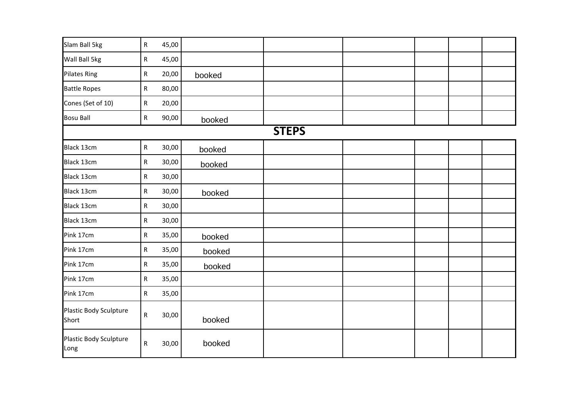| Slam Ball 5kg                   | ${\sf R}$    | 45,00 |        |              |  |  |
|---------------------------------|--------------|-------|--------|--------------|--|--|
| Wall Ball 5kg                   | $\mathsf{R}$ | 45,00 |        |              |  |  |
| <b>Pilates Ring</b>             | ${\sf R}$    | 20,00 | booked |              |  |  |
| <b>Battle Ropes</b>             | ${\sf R}$    | 80,00 |        |              |  |  |
| Cones (Set of 10)               | $\mathsf{R}$ | 20,00 |        |              |  |  |
| <b>Bosu Ball</b>                | $\mathsf{R}$ | 90,00 | booked |              |  |  |
|                                 |              |       |        | <b>STEPS</b> |  |  |
| <b>Black 13cm</b>               | ${\sf R}$    | 30,00 | booked |              |  |  |
| Black 13cm                      | $\mathsf{R}$ | 30,00 | booked |              |  |  |
| Black 13cm                      | ${\sf R}$    | 30,00 |        |              |  |  |
| Black 13cm                      | $\mathsf{R}$ | 30,00 | booked |              |  |  |
| Black 13cm                      | $\mathsf{R}$ | 30,00 |        |              |  |  |
| Black 13cm                      | $\mathsf{R}$ | 30,00 |        |              |  |  |
| Pink 17cm                       | $\mathsf{R}$ | 35,00 | booked |              |  |  |
| Pink 17cm                       | ${\sf R}$    | 35,00 | booked |              |  |  |
| Pink 17cm                       | $\mathsf{R}$ | 35,00 | booked |              |  |  |
| Pink 17cm                       | $\mathsf{R}$ | 35,00 |        |              |  |  |
| Pink 17cm                       | $\mathsf R$  | 35,00 |        |              |  |  |
| Plastic Body Sculpture<br>Short | $\mathsf{R}$ | 30,00 | booked |              |  |  |
| Plastic Body Sculpture<br>Long  | ${\sf R}$    | 30,00 | booked |              |  |  |